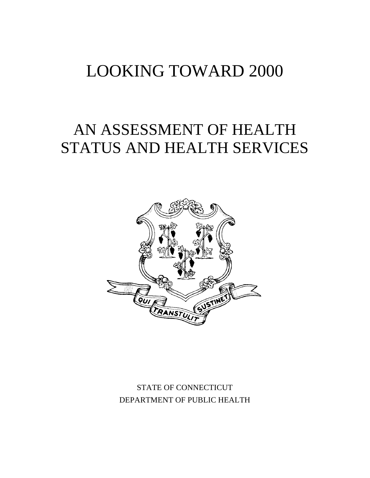# LOOKING TOWARD 2000

# AN ASSESSMENT OF HEALTH STATUS AND HEALTH SERVICES



## STATE OF CONNECTICUT DEPARTMENT OF PUBLIC HEALTH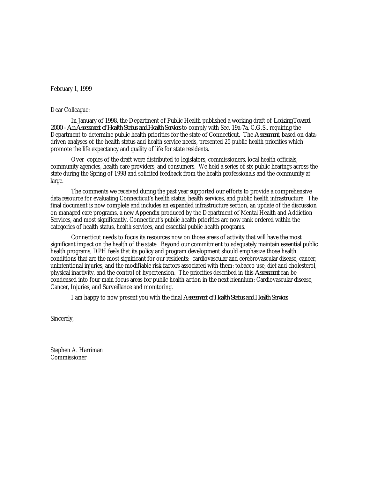February 1, 1999

#### Dear Colleague:

In January of 1998, the Department of Public Health published a working draft of *Looking Toward 2000 - An Assessment of Health Status and Health Services* to comply with Sec. 19a-7a, C.G.S., requiring the Department to determine public health priorities for the state of Connecticut. The *Assessment,* based on datadriven analyses of the health status and health service needs, presented 25 public health priorities which promote the life expectancy and quality of life for state residents.

Over copies of the draft were distributed to legislators, commissioners, local health officials, community agencies, health care providers, and consumers. We held a series of six public hearings across the state during the Spring of 1998 and solicited feedback from the health professionals and the community at large.

The comments we received during the past year supported our efforts to provide a comprehensive data resource for evaluating Connecticut's health status, health services, and public health infrastructure. The final document is now complete and includes an expanded infrastructure section, an update of the discussion on managed care programs, a new Appendix produced by the Department of Mental Health and Addiction Services, and most significantly, Connecticut's public health priorities are now rank ordered within the categories of health status, health services, and essential public health programs.

Connecticut needs to focus its resources now on those areas of activity that will have the most significant impact on the health of the state. Beyond our commitment to adequately maintain essential public health programs, DPH feels that its policy and program development should emphasize those health conditions that are the most significant for our residents: cardiovascular and cerebrovascular disease, cancer, unintentional injuries, and the modifiable risk factors associated with them: tobacco use, diet and cholesterol, physical inactivity, and the control of hypertension. The priorities described in this *Assessment* can be condensed into four main focus areas for public health action in the next biennium: Cardiovascular disease, Cancer, Injuries, and Surveillance and monitoring.

I am happy to now present you with the final *Assessment of Health Status and Health Services*.

Sincerely,

Stephen A. Harriman Commissioner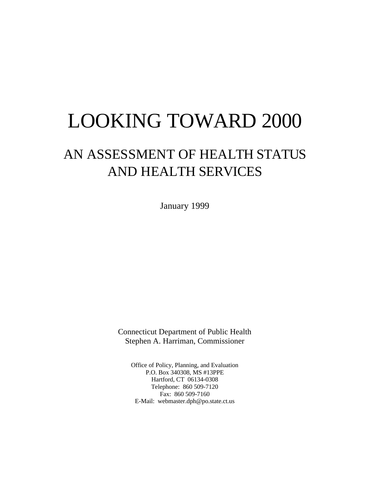# LOOKING TOWARD 2000

## AN ASSESSMENT OF HEALTH STATUS AND HEALTH SERVICES

January 1999

Connecticut Department of Public Health Stephen A. Harriman, Commissioner

Office of Policy, Planning, and Evaluation P.O. Box 340308, MS #13PPE Hartford, CT 06134-0308 Telephone: 860 509-7120 Fax: 860 509-7160 E-Mail: webmaster.dph@po.state.ct.us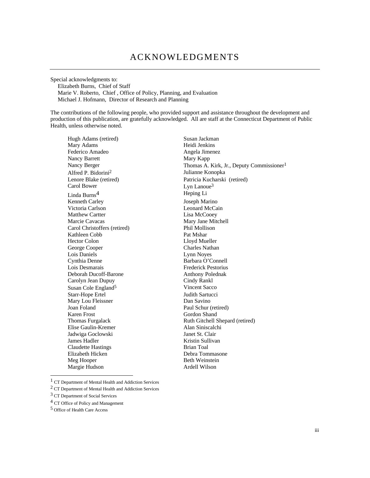Special acknowledgments to: Elizabeth Burns, Chief of Staff Marie V. Roberto, Chief , Office of Policy, Planning, and Evaluation Michael J. Hofmann, Director of Research and Planning

The contributions of the following people, who provided support and assistance throughout the development and production of this publication, are gratefully acknowledged. All are staff at the Connecticut Department of Public Health, unless otherwise noted.

Hugh Adams (retired) Susan Jackman Mary Adams Heidi Jenkins Federico Amadeo Angela Jimenez Nancy Barrett Mary Kapp Alfred P. Bidorini<sup>2</sup><br>Lenore Blake (retired) Linda Burns<sup>4</sup> Feping Li<br>Kenneth Carley Fernando Burns and Toseph Marino Kenneth Carley Victoria Carlson Leonard McCain Matthew Cartter Lisa McCooey Marcie Cavacas Mary Jane Mitchell Carol Christoffers (retired) Phil Mollison Kathleen Cobb Pat Mshar Hector Colon Lloyd Mueller George Cooper Charles Nathan Lois Daniels Lynn Noyes Cynthia Denne Barbara O'Connell Lois Desmarais Frederick Pestorius Deborah Ducoff-Barone **Anthony Polednak** Carolyn Jean Dupuy Cindy Rankl Susan Cole England<sup>5</sup> Vincent Sacco Starr-Hope Ertel Judith Sartucci Mary Lou Fleissner Dan Savino Joan Foland Paul Schur (retired) Karen Frost Gordon Shand Elise Gaulin-Kremer Alan Siniscalchi Jadwiga Goclowski Janet St. Clair **James Hadler** Kristin Sullivan Claudette Hastings Brian Toal Elizabeth Hicken Debra Tommasone Meg Hooper Beth Weinstein Margie Hudson **Ardell Wilson** 

Nancy Berger Thomas A. Kirk, Jr., Deputy Commissioner<sup>1</sup><br>Alfred P. Bidorini<sup>2</sup> *Julianne Konopka* Lenore Blake (retired)<br>
Carol Bower<br>
Lyn Lanoue<sup>3</sup><br>
Lyn Lanoue<sup>3</sup> Lyn Lanoue<sup>3</sup><br>Heping Li Thomas Furgalack Ruth Gitchell Shepard (retired)

1 CT Department of Mental Health and Addiction Services

2 CT Department of Mental Health and Addiction Services

3 CT Department of Social Services

4 CT Office of Policy and Management

5 Office of Health Care Access

-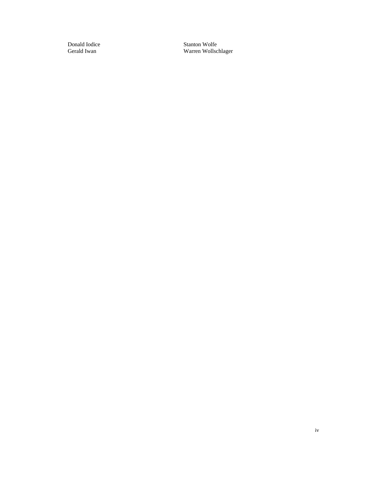Donald Iodice Stanton Wolfe<br>Gerald Iwan Wolfe<br>Warren Wollsc Warren Wollschlager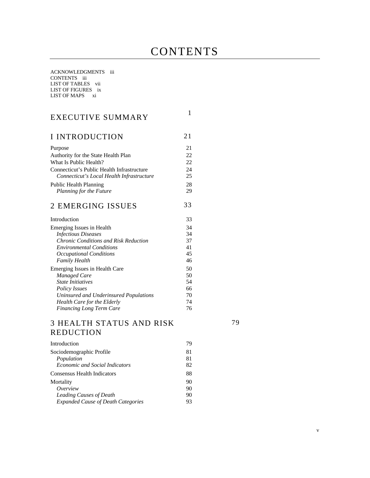## **CONTENTS**

ACKNOWLEDGMENTS iii CONTENTS iii LIST OF TABLES vii LIST OF FIGURES ix LIST OF MAPS xi

| EXECUTIVE SUMMARY                            | 1  |
|----------------------------------------------|----|
| I INTRODUCTION                               | 21 |
| Purpose                                      | 21 |
| Authority for the State Health Plan          | 22 |
| What Is Public Health?                       | 22 |
| Connecticut's Public Health Infrastructure   | 24 |
| Connecticut's Local Health Infrastructure    | 25 |
| <b>Public Health Planning</b>                | 28 |
| Planning for the Future                      | 29 |
| 2 EMERGING ISSUES                            | 33 |
| Introduction                                 | 33 |
| Emerging Issues in Health                    | 34 |
| <b>Infectious Diseases</b>                   | 34 |
| <b>Chronic Conditions and Risk Reduction</b> | 37 |
| <b>Environmental Conditions</b>              | 41 |
| Occupational Conditions                      | 45 |
| <b>Family Health</b>                         | 46 |
| Emerging Issues in Health Care               | 50 |
| <b>Managed Care</b>                          | 50 |
| <b>State Initiatives</b>                     | 54 |
| <b>Policy Issues</b>                         | 66 |
| Uninsured and Underinsured Populations       | 70 |
| Health Care for the Elderly                  | 74 |
| <b>Financing Long Term Care</b>              | 76 |

#### 3 HEALTH STATUS AND RISK REDUCTION

79

| Introduction                              | 79 |
|-------------------------------------------|----|
| Sociodemographic Profile                  | 81 |
| Population                                | 81 |
| <b>Economic and Social Indicators</b>     | 82 |
| Consensus Health Indicators               | 88 |
| Mortality                                 | 90 |
| Overview                                  | 90 |
| Leading Causes of Death                   | 90 |
| <b>Expanded Cause of Death Categories</b> | 93 |
|                                           |    |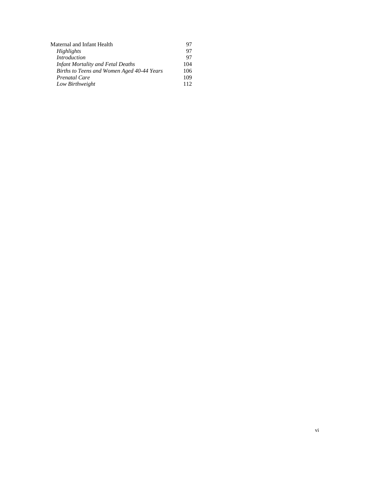| Maternal and Infant Health                 | 97  |
|--------------------------------------------|-----|
| Highlights                                 | 97  |
| <b>Introduction</b>                        | 97  |
| <b>Infant Mortality and Fetal Deaths</b>   | 104 |
| Births to Teens and Women Aged 40-44 Years | 106 |
| Prenatal Care                              | 109 |
| Low Birthweight                            | 112 |
|                                            |     |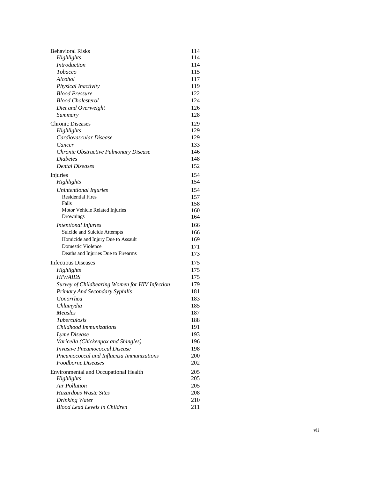| <b>Behavioral Risks</b>                        | 114 |
|------------------------------------------------|-----|
| Highlights                                     | 114 |
| <b>Introduction</b>                            | 114 |
| Tobacco                                        | 115 |
| Alcohol                                        | 117 |
| Physical Inactivity                            | 119 |
| <b>Blood Pressure</b>                          | 122 |
| <b>Blood Cholesterol</b>                       | 124 |
| Diet and Overweight                            | 126 |
| Summary                                        | 128 |
| <b>Chronic Diseases</b>                        | 129 |
| Highlights                                     | 129 |
| Cardiovascular Disease                         | 129 |
| Cancer                                         | 133 |
| Chronic Obstructive Pulmonary Disease          | 146 |
| <b>Diabetes</b>                                | 148 |
| <b>Dental Diseases</b>                         | 152 |
| Injuries                                       | 154 |
| Highlights                                     | 154 |
| Unintentional Injuries                         | 154 |
| <b>Residential Fires</b>                       | 157 |
| Falls                                          | 158 |
| Motor Vehicle Related Injuries                 | 160 |
| Drownings                                      | 164 |
| <b>Intentional Injuries</b>                    | 166 |
| Suicide and Suicide Attempts                   | 166 |
| Homicide and Injury Due to Assault             | 169 |
| Domestic Violence                              | 171 |
| Deaths and Injuries Due to Firearms            | 173 |
| <b>Infectious Diseases</b>                     | 175 |
| Highlights                                     | 175 |
| <i>HIV/AIDS</i>                                | 175 |
| Survey of Childbearing Women for HIV Infection | 179 |
| Primary And Secondary Syphilis                 | 181 |
| Gonorrhea                                      | 183 |
| Chlamydia                                      | 185 |
| Measles                                        | 187 |
| Tuberculosis                                   | 188 |
| Childhood Immunizations                        | 191 |
| Lyme Disease                                   | 193 |
| Varicella (Chickenpox and Shingles)            | 196 |
| <b>Invasive Pneumococcal Disease</b>           | 198 |
| Pneumococcal and Influenza Immunizations       | 200 |
| <i>Foodborne Diseases</i>                      | 202 |
| Environmental and Occupational Health          | 205 |
| Highlights                                     | 205 |
| <b>Air Pollution</b>                           | 205 |
| Hazardous Waste Sites                          | 208 |
| Drinking Water                                 | 210 |
| <b>Blood Lead Levels in Children</b>           | 211 |
|                                                |     |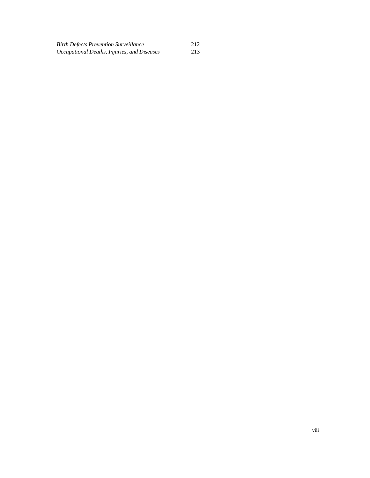| <b>Birth Defects Prevention Surveillance</b> | 212 |
|----------------------------------------------|-----|
| Occupational Deaths, Injuries, and Diseases  | 213 |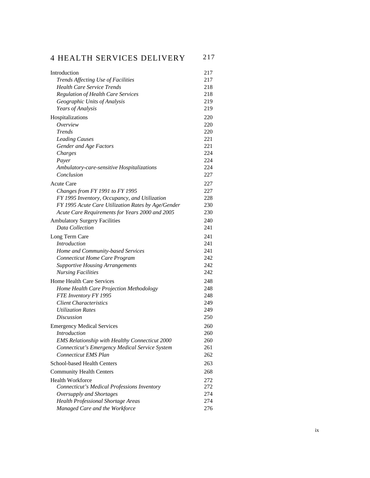| <b>4 HEALTH SERVICES DELIVERY</b>                                      | 217        |
|------------------------------------------------------------------------|------------|
| Introduction                                                           | 217        |
| Trends Affecting Use of Facilities                                     | 217        |
| <b>Health Care Service Trends</b>                                      | 218        |
| <b>Regulation of Health Care Services</b>                              | 218        |
| Geographic Units of Analysis                                           | 219        |
| Years of Analysis                                                      | 219        |
| Hospitalizations                                                       | 220        |
| Overview                                                               | 220        |
| <b>Trends</b>                                                          | 220        |
| <b>Leading Causes</b>                                                  | 22.1       |
| Gender and Age Factors                                                 | 221        |
| Charges                                                                | 224        |
| Payer                                                                  | 224        |
| Ambulatory-care-sensitive Hospitalizations                             | 224        |
| Conclusion                                                             | 227        |
| <b>Acute Care</b>                                                      | 227        |
| Changes from FY 1991 to FY 1995                                        | 227        |
| FY 1995 Inventory, Occupancy, and Utilization                          | 228        |
| FY 1995 Acute Care Utilization Rates by Age/Gender                     | 230        |
| Acute Care Requirements for Years 2000 and 2005                        | 230        |
| <b>Ambulatory Surgery Facilities</b>                                   | 240        |
| Data Collection                                                        | 241        |
| Long Term Care                                                         | 241        |
| <b>Introduction</b>                                                    | 241        |
| Home and Community-based Services                                      | 241        |
| Connecticut Home Care Program                                          | 242        |
| <b>Supportive Housing Arrangements</b>                                 | 242        |
| <b>Nursing Facilities</b>                                              | 242        |
| <b>Home Health Care Services</b>                                       | 248        |
| Home Health Care Projection Methodology                                | 248        |
| FTE Inventory FY 1995                                                  | 248        |
| <b>Client Characteristics</b><br><b>Utilization Rates</b>              | 249        |
| <b>Discussion</b>                                                      | 249<br>250 |
|                                                                        |            |
| <b>Emergency Medical Services</b>                                      | 260        |
| <i>Introduction</i>                                                    | 260        |
| <b>EMS Relationship with Healthy Connecticut 2000</b>                  | 260<br>261 |
| Connecticut's Emergency Medical Service System<br>Connecticut EMS Plan | 262        |
|                                                                        |            |
| <b>School-based Health Centers</b>                                     | 263        |
| <b>Community Health Centers</b>                                        | 268        |
| Health Workforce                                                       | 272        |
| Connecticut's Medical Professions Inventory                            | 272        |
| Oversupply and Shortages                                               | 274        |
| Health Professional Shortage Areas                                     | 274        |
| Managed Care and the Workforce                                         | 276        |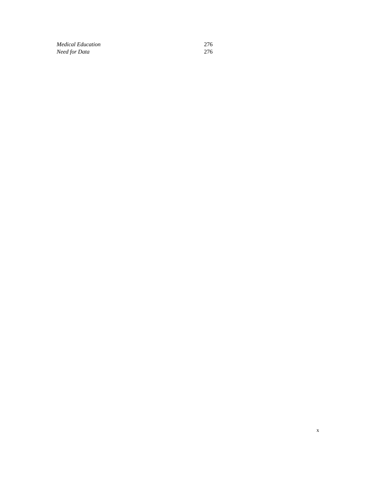*Medical Education* 276<br>*Need for Data* 276 *Need for Data*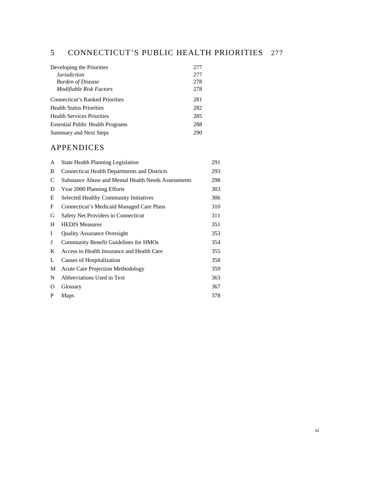## 5 CONNECTICUT'S PUBLIC HEALTH PRIORITIES 277

| Developing the Priorities               | 277 |
|-----------------------------------------|-----|
| <i>Jurisdiction</i>                     | 277 |
| <b>Burden of Disease</b>                | 278 |
| <b>Modifiable Risk Factors</b>          | 278 |
| Connecticut's Ranked Priorities         | 281 |
| <b>Health Status Priorities</b>         | 282 |
| <b>Health Services Priorities</b>       | 285 |
| <b>Essential Public Health Programs</b> | 288 |
| Summary and Next Steps                  | 290 |

### APPENDICES

| A | <b>State Health Planning Legislation</b>            | 291 |
|---|-----------------------------------------------------|-----|
| B | <b>Connecticut Health Departments and Districts</b> | 293 |
| C | Substance Abuse and Mental Health Needs Assessments | 298 |
| D | Year 2000 Planning Efforts                          | 303 |
| Е | <b>Selected Healthy Community Initiatives</b>       | 306 |
| F | Connecticut's Medicaid Managed Care Plans           | 310 |
| G | Safety Net Providers in Connecticut                 | 311 |
| H | <b>HEDIS</b> Measures                               | 351 |
| I | <b>Quality Assurance Oversight</b>                  | 353 |
| J | <b>Community Benefit Guidelines for HMOs</b>        | 354 |
| K | Access to Health Insurance and Health Care          | 355 |
| L | Causes of Hospitalization                           | 358 |
| M | <b>Acute Care Projection Methodology</b>            | 359 |
| N | Abbreviations Used in Text                          | 363 |
| 0 | Glossary                                            | 367 |
| P | Maps                                                | 378 |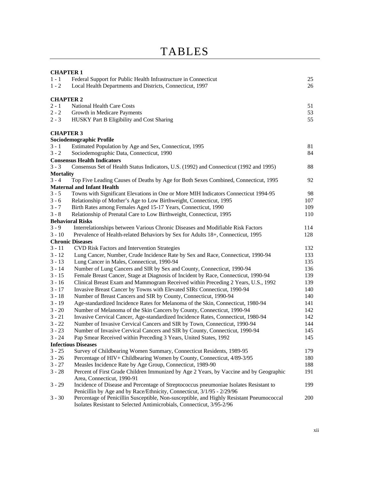| <b>CHAPTER 1</b> |                                                                                          |     |  |  |
|------------------|------------------------------------------------------------------------------------------|-----|--|--|
| $1 - 1$          | Federal Support for Public Health Infrastructure in Connecticut                          | 25  |  |  |
| $1 - 2$          | Local Health Departments and Districts, Connecticut, 1997                                | 26  |  |  |
|                  |                                                                                          |     |  |  |
| <b>CHAPTER 2</b> |                                                                                          |     |  |  |
| $2 - 1$          | <b>National Health Care Costs</b>                                                        | 51  |  |  |
| $2 - 2$          | Growth in Medicare Payments                                                              | 53  |  |  |
| $2 - 3$          | HUSKY Part B Eligibility and Cost Sharing                                                | 55  |  |  |
| <b>CHAPTER 3</b> |                                                                                          |     |  |  |
|                  | Sociodemographic Profile                                                                 |     |  |  |
| $3 - 1$          | Estimated Population by Age and Sex, Connecticut, 1995                                   | 81  |  |  |
| $3 - 2$          | Sociodemographic Data, Connecticut, 1990                                                 | 84  |  |  |
|                  | <b>Consensus Health Indicators</b>                                                       |     |  |  |
| $3 - 3$          | Consensus Set of Health Status Indicators, U.S. (1992) and Connecticut (1992 and 1995)   | 88  |  |  |
| <b>Mortality</b> |                                                                                          |     |  |  |
| $3 - 4$          | Top Five Leading Causes of Deaths by Age for Both Sexes Combined, Connecticut, 1995      | 92  |  |  |
|                  | <b>Maternal and Infant Health</b>                                                        |     |  |  |
| $3 - 5$          | Towns with Significant Elevations in One or More MIH Indicators Connecticut 1994-95      | 98  |  |  |
| $3 - 6$          | Relationship of Mother's Age to Low Birthweight, Connecticut, 1995                       | 107 |  |  |
| $3 - 7$          | Birth Rates among Females Aged 15-17 Years, Connecticut, 1990                            | 109 |  |  |
| $3 - 8$          | Relationship of Prenatal Care to Low Birthweight, Connecticut, 1995                      | 110 |  |  |
|                  | <b>Behavioral Risks</b>                                                                  |     |  |  |
| $3 - 9$          | Interrelationships between Various Chronic Diseases and Modifiable Risk Factors          | 114 |  |  |
| $3 - 10$         | Prevalence of Health-related Behaviors by Sex for Adults 18+, Connecticut, 1995          | 128 |  |  |
|                  | <b>Chronic Diseases</b>                                                                  |     |  |  |
| $3 - 11$         | CVD Risk Factors and Intervention Strategies                                             | 132 |  |  |
| $3 - 12$         | Lung Cancer, Number, Crude Incidence Rate by Sex and Race, Connecticut, 1990-94          | 133 |  |  |
| $3 - 13$         | Lung Cancer in Males, Connecticut, 1990-94                                               | 135 |  |  |
| $3 - 14$         | Number of Lung Cancers and SIR by Sex and County, Connecticut, 1990-94                   | 136 |  |  |
| $3 - 15$         | Female Breast Cancer, Stage at Diagnosis of Incident by Race, Connecticut, 1990-94       | 139 |  |  |
| $3 - 16$         | Clinical Breast Exam and Mammogram Received within Preceding 2 Years, U.S., 1992         | 139 |  |  |
| $3 - 17$         | Invasive Breast Cancer by Towns with Elevated SIRs Connecticut, 1990-94                  | 140 |  |  |
| $3 - 18$         | Number of Breast Cancers and SIR by County, Connecticut, 1990-94                         | 140 |  |  |
| $3 - 19$         | Age-standardized Incidence Rates for Melanoma of the Skin, Connecticut, 1980-94          | 141 |  |  |
| $3 - 20$         | Number of Melanoma of the Skin Cancers by County, Connecticut, 1990-94                   | 142 |  |  |
| $3 - 21$         | Invasive Cervical Cancer, Age-standardized Incidence Rates, Connecticut, 1980-94         | 142 |  |  |
| $3 - 22$         | Number of Invasive Cervical Cancers and SIR by Town, Connecticut, 1990-94                | 144 |  |  |
| $3 - 23$         | Number of Invasive Cervical Cancers and SIR by County, Connecticut, 1990-94              | 145 |  |  |
| $3 - 24$         | Pap Smear Received within Preceding 3 Years, United States, 1992                         | 145 |  |  |
|                  | <b>Infectious Diseases</b>                                                               |     |  |  |
| $3 - 25$         | Survey of Childbearing Women Summary, Connecticut Residents, 1989-95                     | 179 |  |  |
| $3 - 26$         | Percentage of HIV+ Childbearing Women by County, Connecticut, 4/89-3/95                  | 180 |  |  |
| $3 - 27$         | Measles Incidence Rate by Age Group, Connecticut, 1989-90                                | 188 |  |  |
| $3 - 28$         | Percent of First Grade Children Immunized by Age 2 Years, by Vaccine and by Geographic   | 191 |  |  |
|                  | Area, Connecticut, 1990-91                                                               |     |  |  |
| $3 - 29$         | Incidence of Disease and Percentage of Streptococcus pneumoniae Isolates Resistant to    | 199 |  |  |
|                  | Penicillin by Age and by Race/Ethnicity, Connecticut, 3/1/95 - 2/29/96                   |     |  |  |
| $3 - 30$         | Percentage of Penicillin Susceptible, Non-susceptible, and Highly Resistant Pneumococcal | 200 |  |  |
|                  | Isolates Resistant to Selected Antimicrobials, Connecticut, 3/95-2/96                    |     |  |  |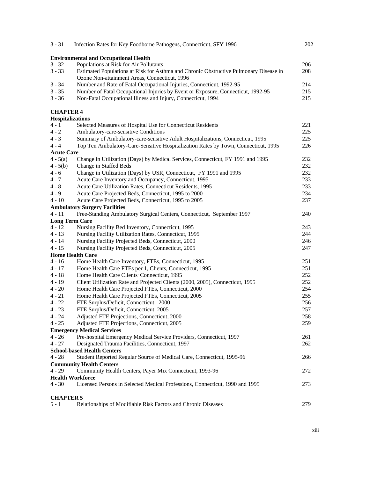| $3 - 31$          | Infection Rates for Key Foodborne Pathogens, Connecticut, SFY 1996                                                                     | 202 |
|-------------------|----------------------------------------------------------------------------------------------------------------------------------------|-----|
|                   | <b>Environmental and Occupational Health</b>                                                                                           |     |
| $3 - 32$          | Populations at Risk for Air Pollutants                                                                                                 | 206 |
| $3 - 33$          | Estimated Populations at Risk for Asthma and Chronic Obstructive Pulmonary Disease in<br>Ozone Non-attainment Areas, Connecticut, 1996 | 208 |
| $3 - 34$          | Number and Rate of Fatal Occupational Injuries, Connecticut, 1992-95                                                                   | 214 |
| $3 - 35$          | Number of Fatal Occupational Injuries by Event or Exposure, Connecticut, 1992-95                                                       | 215 |
| $3 - 36$          | Non-Fatal Occupational Illness and Injury, Connecticut, 1994                                                                           | 215 |
| <b>CHAPTER 4</b>  |                                                                                                                                        |     |
| Hospitalizations  |                                                                                                                                        |     |
| $4 - 1$           | Selected Measures of Hospital Use for Connecticut Residents                                                                            | 221 |
| $4 - 2$           | Ambulatory-care-sensitive Conditions                                                                                                   | 225 |
| $4 - 3$           | Summary of Ambulatory-care-sensitive Adult Hospitalizations, Connecticut, 1995                                                         | 225 |
| $4 - 4$           | Top Ten Ambulatory-Care-Sensitive Hospitalization Rates by Town, Connecticut, 1995                                                     | 226 |
| <b>Acute Care</b> |                                                                                                                                        |     |
| $4 - 5(a)$        | Change in Utilization (Days) by Medical Services, Connecticut, FY 1991 and 1995                                                        | 232 |
| $4 - 5(b)$        | Change in Staffed Beds                                                                                                                 | 232 |
| $4 - 6$           | Change in Utilization (Days) by USR, Connecticut, FY 1991 and 1995                                                                     | 232 |
| $4 - 7$           | Acute Care Inventory and Occupancy, Connecticut, 1995                                                                                  | 233 |
| $4 - 8$           | Acute Care Utilization Rates, Connecticut Residents, 1995                                                                              | 233 |
| $4 - 9$           | Acute Care Projected Beds, Connecticut, 1995 to 2000                                                                                   | 234 |
| $4 - 10$          | Acute Care Projected Beds, Connecticut, 1995 to 2005                                                                                   | 237 |
|                   | <b>Ambulatory Surgery Facilities</b>                                                                                                   |     |
| $4 - 11$          | Free-Standing Ambulatory Surgical Centers, Connecticut, September 1997                                                                 | 240 |
|                   | <b>Long Term Care</b>                                                                                                                  |     |
| $4 - 12$          | Nursing Facility Bed Inventory, Connecticut, 1995                                                                                      | 243 |
| $4 - 13$          | Nursing Facility Utilization Rates, Connecticut, 1995                                                                                  | 244 |
| $4 - 14$          | Nursing Facility Projected Beds, Connecticut, 2000                                                                                     | 246 |
| $4 - 15$          | Nursing Facility Projected Beds, Connecticut, 2005                                                                                     | 247 |
|                   | <b>Home Health Care</b>                                                                                                                |     |
| $4 - 16$          | Home Health Care Inventory, FTEs, Connecticut, 1995                                                                                    | 251 |
| $4 - 17$          | Home Health Care FTEs per 1, Clients, Connecticut, 1995                                                                                | 251 |
| $4 - 18$          | Home Health Care Clients' Connecticut, 1995                                                                                            | 252 |
| $4 - 19$          | Client Utilization Rate and Projected Clients (2000, 2005), Connecticut, 1995                                                          | 252 |
| $4 - 20$          | Home Health Care Projected FTEs, Connecticut, 2000                                                                                     | 254 |
| $4 - 21$          | Home Health Care Projected FTEs, Connecticut, 2005                                                                                     | 255 |
| $4 - 22$          | FTE Surplus/Deficit, Connecticut, 2000                                                                                                 | 256 |
| $4 - 23$          | FTE Surplus/Deficit, Connecticut, 2005                                                                                                 | 257 |
| $4 - 24$          | Adjusted FTE Projections, Connecticut, 2000                                                                                            | 258 |
| $4 - 25$          | Adjusted FTE Projections, Connecticut, 2005                                                                                            | 259 |
|                   | <b>Emergency Medical Services</b>                                                                                                      |     |
| $4 - 26$          | Pre-hospital Emergency Medical Service Providers, Connecticut, 1997                                                                    | 261 |
| $4 - 27$          | Designated Trauma Facilities, Connecticut, 1997                                                                                        | 262 |
|                   | <b>School-based Health Centers</b>                                                                                                     |     |
| $4 - 28$          | Student Reported Regular Source of Medical Care, Connecticut, 1995-96                                                                  | 266 |
|                   | <b>Community Health Centers</b>                                                                                                        |     |
| $4 - 29$          | Community Health Centers, Payer Mix Connecticut, 1993-96                                                                               | 272 |
|                   | <b>Health Workforce</b>                                                                                                                |     |
| $4 - 30$          | Licensed Persons in Selected Medical Professions, Connecticut, 1990 and 1995                                                           | 273 |
| <b>CHAPTER 5</b>  |                                                                                                                                        |     |
| $5 - 1$           | Relationships of Modifiable Risk Factors and Chronic Diseases                                                                          | 279 |
|                   |                                                                                                                                        |     |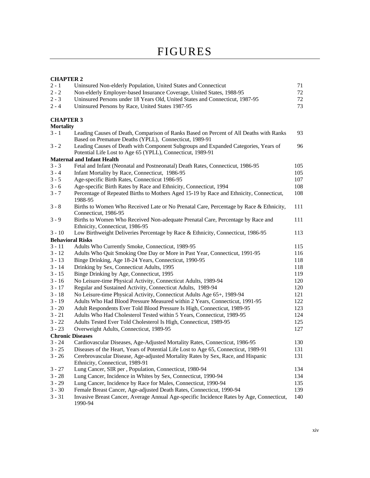#### **CHAPTER 2**

| $2 - 1$                 | Uninsured Non-elderly Population, United States and Connecticut                                                                                  | 71  |
|-------------------------|--------------------------------------------------------------------------------------------------------------------------------------------------|-----|
| $2 - 2$                 | Non-elderly Employer-based Insurance Coverage, United States, 1988-95                                                                            | 72  |
| $2 - 3$                 | Uninsured Persons under 18 Years Old, United States and Connecticut, 1987-95                                                                     | 72  |
| $2 - 4$                 | Uninsured Persons by Race, United States 1987-95                                                                                                 | 73  |
| <b>CHAPTER 3</b>        |                                                                                                                                                  |     |
| <b>Mortality</b>        |                                                                                                                                                  |     |
| $3 - 1$                 | Leading Causes of Death, Comparison of Ranks Based on Percent of All Deaths with Ranks<br>Based on Premature Deaths (YPLL), Connecticut, 1989-91 | 93  |
| $3 - 2$                 | Leading Causes of Death with Component Subgroups and Expanded Categories, Years of<br>Potential Life Lost to Age 65 (YPLL), Connecticut, 1989-91 | 96  |
|                         | <b>Maternal and Infant Health</b>                                                                                                                |     |
| $3 - 3$                 | Fetal and Infant (Neonatal and Postneonatal) Death Rates, Connecticut, 1986-95                                                                   | 105 |
| $3 - 4$                 | Infant Mortality by Race, Connecticut, 1986-95                                                                                                   | 105 |
| $3 - 5$                 | Age-specific Birth Rates, Connecticut 1986-95                                                                                                    | 107 |
| $3 - 6$                 | Age-specific Birth Rates by Race and Ethnicity, Connecticut, 1994                                                                                | 108 |
| $3 - 7$                 | Percentage of Repeated Births to Mothers Aged 15-19 by Race and Ethnicity, Connecticut,<br>1988-95                                               | 108 |
| $3 - 8$                 | Births to Women Who Received Late or No Prenatal Care, Percentage by Race & Ethnicity,<br>Connecticut, 1986-95                                   | 111 |
| $3 - 9$                 | Births to Women Who Received Non-adequate Prenatal Care, Percentage by Race and<br>Ethnicity, Connecticut, 1986-95                               | 111 |
| $3 - 10$                | Low Birthweight Deliveries Percentage by Race & Ethnicity, Connecticut, 1986-95                                                                  | 113 |
|                         | <b>Behavioral Risks</b>                                                                                                                          |     |
| $3 - 11$                | Adults Who Currently Smoke, Connecticut, 1989-95                                                                                                 | 115 |
| $3 - 12$                | Adults Who Quit Smoking One Day or More in Past Year, Connecticut, 1991-95                                                                       | 116 |
| $3 - 13$                | Binge Drinking, Age 18-24 Years, Connecticut, 1990-95                                                                                            | 118 |
| $3 - 14$                | Drinking by Sex, Connecticut Adults, 1995                                                                                                        | 118 |
| $3 - 15$                | Binge Drinking by Age, Connecticut, 1995                                                                                                         | 119 |
| $3 - 16$                | No Leisure-time Physical Activity, Connecticut Adults, 1989-94                                                                                   | 120 |
| $3 - 17$                | Regular and Sustained Activity, Connecticut Adults, 1989-94                                                                                      | 120 |
| $3 - 18$                | No Leisure-time Physical Activity, Connecticut Adults Age 65+, 1989-94                                                                           | 121 |
| $3 - 19$                | Adults Who Had Blood Pressure Measured within 2 Years, Connecticut, 1991-95                                                                      | 122 |
| $3 - 20$                | Adult Respondents Ever Told Blood Pressure Is High, Connecticut, 1989-95                                                                         | 123 |
| $3 - 21$                | Adults Who Had Cholesterol Tested within 5 Years, Connecticut, 1989-95                                                                           | 124 |
| $3 - 22$                | Adults Tested Ever Told Cholesterol Is High, Connecticut, 1989-95                                                                                | 125 |
| $3 - 23$                | Overweight Adults, Connecticut, 1989-95                                                                                                          | 127 |
| <b>Chronic Diseases</b> |                                                                                                                                                  |     |
| $3 - 24$                | Cardiovascular Diseases, Age-Adjusted Mortality Rates, Connecticut, 1986-95                                                                      | 130 |
| $3 - 25$                | Diseases of the Heart, Years of Potential Life Lost to Age 65, Connecticut, 1989-91                                                              | 131 |
| $3 - 26$                | Cerebrovascular Disease, Age-adjusted Mortality Rates by Sex, Race, and Hispanic<br>Ethnicity, Connecticut, 1989-91                              | 131 |
| $3 - 27$                | Lung Cancer, SIR per, Population, Connecticut, 1980-94                                                                                           | 134 |
| $3 - 28$                | Lung Cancer, Incidence in Whites by Sex, Connecticut, 1990-94                                                                                    | 134 |
| $3 - 29$                | Lung Cancer, Incidence by Race for Males, Connecticut, 1990-94                                                                                   | 135 |
| $3 - 30$                | Female Breast Cancer, Age-adjusted Death Rates, Connecticut, 1990-94                                                                             | 139 |
| $3 - 31$                | Invasive Breast Cancer, Average Annual Age-specific Incidence Rates by Age, Connecticut,<br>1990-94                                              | 140 |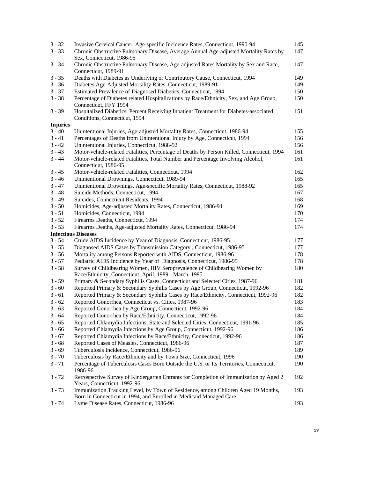| $3 - 32$        | Invasive Cervical Cancer Age-specific Incidence Rates, Connecticut, 1990-94                | 145 |
|-----------------|--------------------------------------------------------------------------------------------|-----|
| $3 - 33$        | Chronic Obstructive Pulmonary Disease, Average Annual Age-adjusted Mortality Rates by      | 147 |
|                 | Sex, Connecticut, 1986-95                                                                  |     |
| $3 - 34$        | Chronic Obstructive Pulmonary Disease, Age-adjusted Rates Mortality by Sex and Race,       | 147 |
|                 | Connecticut, 1989-91                                                                       |     |
| $3 - 35$        | Deaths with Diabetes as Underlying or Contributory Cause, Connecticut, 1994                | 149 |
| $3 - 36$        | Diabetes Age-Adjusted Mortality Rates, Connecticut, 1989-91                                | 149 |
| $3 - 37$        | Estimated Prevalence of Diagnosed Diabetics, Connecticut, 1994                             | 150 |
| $3 - 38$        | Percentage of Diabetes related Hospitalizations by Race/Ethnicity, Sex, and Age Group,     | 150 |
|                 | Connecticut, FFY 1994                                                                      |     |
| $3 - 39$        | Hospitalized Diabetics, Percent Receiving Inpatient Treatment for Diabetes-associated      | 151 |
|                 | Conditions, Connecticut, 1994                                                              |     |
| <b>Injuries</b> |                                                                                            |     |
| $3 - 40$        | Unintentional Injuries, Age-adjusted Mortality Rates, Connecticut, 1986-94                 | 155 |
| $3 - 41$        | Percentages of Deaths from Unintentional Injury by Age, Connecticut, 1994                  | 156 |
| $3 - 42$        | Unintentional Injuries, Connecticut, 1988-92                                               | 156 |
| $3 - 43$        | Motor-vehicle-related Fatalities, Percentage of Deaths by Person Killed, Connecticut, 1994 | 161 |
| $3 - 44$        | Motor-vehicle-related Fatalities, Total Number and Percentage Involving Alcohol,           | 161 |
|                 | Connecticut, 1986-95                                                                       |     |
| $3 - 45$        | Motor-vehicle-related Fatalities, Connecticut, 1994                                        | 162 |
| $3 - 46$        | Unintentional Drownings, Connecticut, 1989-94                                              | 165 |
| $3 - 47$        | Unintentional Drownings, Age-specific Mortality Rates, Connecticut, 1988-92                | 165 |
| $3 - 48$        | Suicide Methods, Connecticut, 1994                                                         | 167 |
|                 |                                                                                            |     |
| $3 - 49$        | Suicides, Connecticut Residents, 1994                                                      | 168 |
| $3 - 50$        | Homicides, Age-adjusted Mortality Rates, Connecticut, 1986-94                              | 169 |
| $3 - 51$        | Homicides, Connecticut, 1994                                                               | 170 |
| $3 - 52$        | Firearms Deaths, Connecticut, 1994                                                         | 174 |
| $3 - 53$        | Firearms Deaths, Age-adjusted Mortality Rates, Connecticut, 1986-94                        | 174 |
|                 | <b>Infectious Diseases</b>                                                                 |     |
| $3 - 54$        | Crude AIDS Incidence by Year of Diagnosis, Connecticut, 1986-95                            | 177 |
| $3 - 55$        | Diagnosed AIDS Cases by Transmission Category, Connecticut, 1986-95                        | 177 |
| $3 - 56$        | Mortality among Persons Reported with AIDS, Connecticut, 1986-96                           | 178 |
| $3 - 57$        | Pediatric AIDS Incidence by Year of Diagnosis, Connecticut, 1986-95                        | 178 |
| $3 - 58$        | Survey of Childbearing Women, HIV Seroprevalence of Childbearing Women by                  | 180 |
|                 | Race/Ethnicity, Connecticut, April, 1989 - March, 1995                                     |     |
| $3 - 59$        | Primary & Secondary Syphilis Cases, Connecticut and Selected Cities, 1987-96               | 181 |
| $3 - 60$        | Reported Primary & Secondary Syphilis Cases by Age Group, Connecticut, 1992-96             | 182 |
| $3 - 61$        | Reported Primary & Secondary Syphilis Cases by Race/Ethnicity, Connecticut, 1992-96        | 182 |
| $3 - 62$        | Reported Gonorrhea, Connecticut vs. Cities, 1987-96                                        | 183 |
| $3 - 63$        | Reported Gonorrhea by Age Group, Connecticut, 1992-96                                      | 184 |
| $3 - 64$        | Reported Gonorrhea by Race/Ethnicity, Connecticut, 1992-96                                 | 184 |
| $3 - 65$        | Reported Chlamydia Infections, State and Selected Cities, Connecticut, 1991-96             | 185 |
| $3 - 66$        | Reported Chlamydia Infections by Age Group, Connecticut, 1992-96                           | 186 |
| $3 - 67$        | Reported Chlamydia Infections by Race/Ethnicity, Connecticut, 1992-96                      | 186 |
| $3 - 68$        | Reported Cases of Measles, Connecticut, 1986-96                                            | 187 |
| $3 - 69$        | Tuberculosis Incidence, Connecticut, 1986-96                                               | 189 |
| $3 - 70$        | Tuberculosis by Race/Ethnicity and by Town Size, Connecticut, 1996                         | 190 |
| $3 - 71$        | Percentage of Tuberculosis Cases Born Outside the U.S. or Its Territories, Connecticut,    | 190 |
|                 | 1986-96                                                                                    |     |
| $3 - 72$        | Retrospective Survey of Kindergarten Entrants for Completion of Immunization by Aged 2     | 192 |
|                 | Years, Connecticut, 1992-96                                                                |     |
| $3 - 73$        | Immunization Tracking Level, by Town of Residence, among Children Aged 19 Months,          | 193 |
|                 | Born in Connecticut in 1994, and Enrolled in Medicaid Managed Care                         |     |
| $3 - 74$        | Lyme Disease Rates, Connecticut, 1986-96                                                   | 193 |
|                 |                                                                                            |     |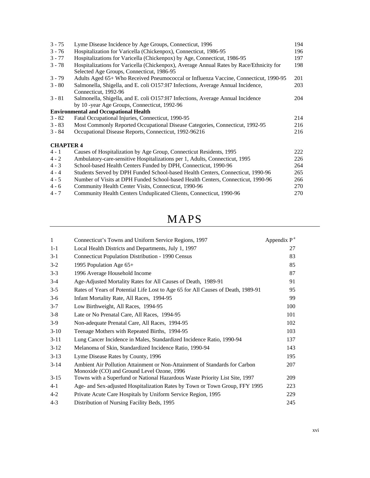| $3 - 75$         | Lyme Disease Incidence by Age Groups, Connecticut, 1996                                                                              | 194 |
|------------------|--------------------------------------------------------------------------------------------------------------------------------------|-----|
| $3 - 76$         | Hospitalization for Varicella (Chickenpox), Connecticut, 1986-95                                                                     | 196 |
| $3 - 77$         | Hospitalizations for Varicella (Chickenpox) by Age, Connecticut, 1986-95                                                             | 197 |
| $3 - 78$         | Hospitalizations for Varicella (Chickenpox), Average Annual Rates by Race/Ethnicity for<br>Selected Age Groups, Connecticut, 1986-95 | 198 |
| $3 - 79$         | Adults Aged 65+ Who Received Pneumococcal or Influenza Vaccine, Connecticut, 1990-95                                                 | 201 |
| $3 - 80$         | Salmonella, Shigella, and E. coli O157:H7 Infections, Average Annual Incidence,<br>Connecticut, 1992-96                              | 203 |
| $3 - 81$         | Salmonella, Shigella, and E. coli O157:H7 Infections, Average Annual Incidence<br>by 10 -year Age Groups, Connecticut, 1992-96       | 204 |
|                  | <b>Environmental and Occupational Health</b>                                                                                         |     |
| $3 - 82$         | Fatal Occupational Injuries, Connecticut, 1990-95                                                                                    | 214 |
| $3 - 83$         | Most Commonly Reported Occupational Disease Categories, Connecticut, 1992-95                                                         | 216 |
| $3 - 84$         | Occupational Disease Reports, Connecticut, 1992-96216                                                                                | 216 |
| <b>CHAPTER 4</b> |                                                                                                                                      |     |
| $4 - 1$          | Causes of Hospitalization by Age Group, Connecticut Residents, 1995                                                                  | 222 |
| $4 - 2$          | Ambulatory-care-sensitive Hospitalizations per 1, Adults, Connecticut, 1995                                                          | 226 |
| $4 - 3$          | School-based Health Centers Funded by DPH, Connecticut, 1990-96                                                                      | 264 |
| $4 - 4$          | Students Served by DPH Funded School-based Health Centers, Connecticut, 1990-96                                                      | 265 |
| $4 - 5$          | Number of Visits at DPH Funded School-based Health Centers, Connecticut, 1990-96                                                     | 266 |
| $4 - 6$          | Community Health Center Visits, Connecticut, 1990-96                                                                                 | 270 |
| $4 - 7$          | Community Health Centers Unduplicated Clients, Connecticut, 1990-96                                                                  | 270 |

## MAPS

| $\mathbf{1}$ | Connecticut's Towns and Uniform Service Regions, 1997                                                                    | Appendix P <sup>a</sup> |
|--------------|--------------------------------------------------------------------------------------------------------------------------|-------------------------|
| $1 - 1$      | Local Health Districts and Departments, July 1, 1997                                                                     | 27                      |
| $3-1$        | Connecticut Population Distribution - 1990 Census                                                                        | 83                      |
| $3-2$        | 1995 Population Age $65+$                                                                                                | 85                      |
| $3 - 3$      | 1996 Average Household Income                                                                                            | 87                      |
| $3-4$        | Age-Adjusted Mortality Rates for All Causes of Death, 1989-91                                                            | 91                      |
| $3 - 5$      | Rates of Years of Potential Life Lost to Age 65 for All Causes of Death, 1989-91                                         | 95                      |
| $3-6$        | Infant Mortality Rate, All Races, 1994-95                                                                                | 99                      |
| $3 - 7$      | Low Birthweight, All Races, 1994-95                                                                                      | 100                     |
| $3 - 8$      | Late or No Prenatal Care, All Races, 1994-95                                                                             | 101                     |
| $3-9$        | Non-adequate Prenatal Care, All Races, 1994-95                                                                           | 102                     |
| $3-10$       | Teenage Mothers with Repeated Births, 1994-95                                                                            | 103                     |
| $3-11$       | Lung Cancer Incidence in Males, Standardized Incidence Ratio, 1990-94                                                    | 137                     |
| $3-12$       | Melanoma of Skin, Standardized Incidence Ratio, 1990-94                                                                  | 143                     |
| $3-13$       | Lyme Disease Rates by County, 1996                                                                                       | 195                     |
| $3-14$       | Ambient Air Pollution Attainment or Non-Attainment of Standards for Carbon<br>Monoxide (CO) and Ground Level Ozone, 1996 | 207                     |
| $3-15$       | Towns with a Superfund or National Hazardous Waste Priority List Site, 1997                                              | 209                     |
| $4-1$        | Age- and Sex-adjusted Hospitalization Rates by Town or Town Group, FFY 1995                                              | 223                     |
| $4 - 2$      | Private Acute Care Hospitals by Uniform Service Region, 1995                                                             | 229                     |
| $4 - 3$      | Distribution of Nursing Facility Beds, 1995                                                                              | 245                     |